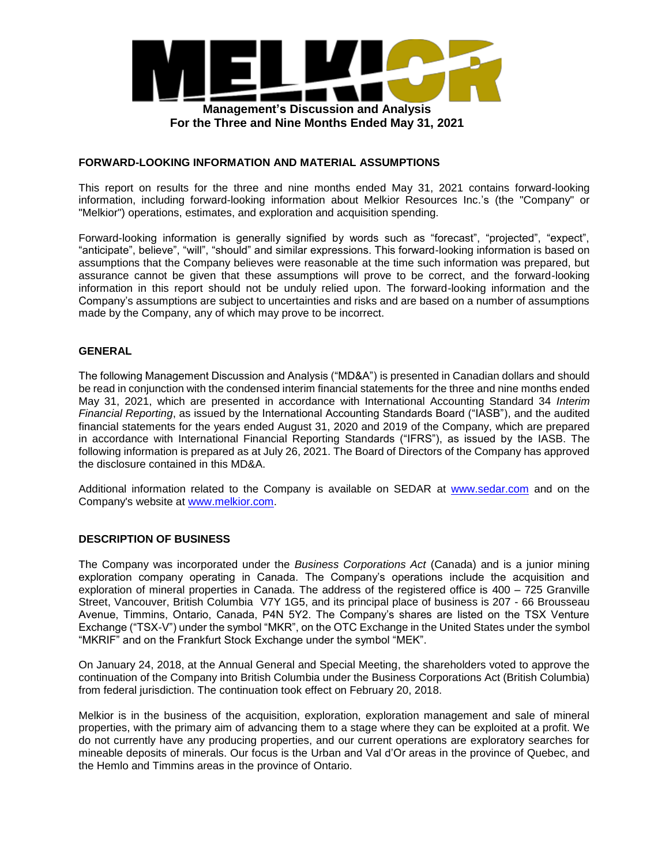

### **FORWARD-LOOKING INFORMATION AND MATERIAL ASSUMPTIONS**

This report on results for the three and nine months ended May 31, 2021 contains forward-looking information, including forward-looking information about Melkior Resources Inc.'s (the "Company" or "Melkior") operations, estimates, and exploration and acquisition spending.

Forward-looking information is generally signified by words such as "forecast", "projected", "expect", "anticipate", believe", "will", "should" and similar expressions. This forward-looking information is based on assumptions that the Company believes were reasonable at the time such information was prepared, but assurance cannot be given that these assumptions will prove to be correct, and the forward-looking information in this report should not be unduly relied upon. The forward-looking information and the Company's assumptions are subject to uncertainties and risks and are based on a number of assumptions made by the Company, any of which may prove to be incorrect.

## **GENERAL**

The following Management Discussion and Analysis ("MD&A") is presented in Canadian dollars and should be read in conjunction with the condensed interim financial statements for the three and nine months ended May 31, 2021, which are presented in accordance with International Accounting Standard 34 *Interim Financial Reporting*, as issued by the International Accounting Standards Board ("IASB"), and the audited financial statements for the years ended August 31, 2020 and 2019 of the Company, which are prepared in accordance with International Financial Reporting Standards ("IFRS"), as issued by the IASB. The following information is prepared as at July 26, 2021. The Board of Directors of the Company has approved the disclosure contained in this MD&A.

Additional information related to the Company is available on SEDAR at www.sedar.com and on the Company's website at www.melkior.com.

### **DESCRIPTION OF BUSINESS**

The Company was incorporated under the *Business Corporations Act* (Canada) and is a junior mining exploration company operating in Canada. The Company's operations include the acquisition and exploration of mineral properties in Canada. The address of the registered office is 400 – 725 Granville Street, Vancouver, British Columbia V7Y 1G5, and its principal place of business is 207 - 66 Brousseau Avenue, Timmins, Ontario, Canada, P4N 5Y2. The Company's shares are listed on the TSX Venture Exchange ("TSX-V") under the symbol "MKR", on the OTC Exchange in the United States under the symbol "MKRIF" and on the Frankfurt Stock Exchange under the symbol "MEK".

On January 24, 2018, at the Annual General and Special Meeting, the shareholders voted to approve the continuation of the Company into British Columbia under the Business Corporations Act (British Columbia) from federal jurisdiction. The continuation took effect on February 20, 2018.

Melkior is in the business of the acquisition, exploration, exploration management and sale of mineral properties, with the primary aim of advancing them to a stage where they can be exploited at a profit. We do not currently have any producing properties, and our current operations are exploratory searches for mineable deposits of minerals. Our focus is the Urban and Val d'Or areas in the province of Quebec, and the Hemlo and Timmins areas in the province of Ontario.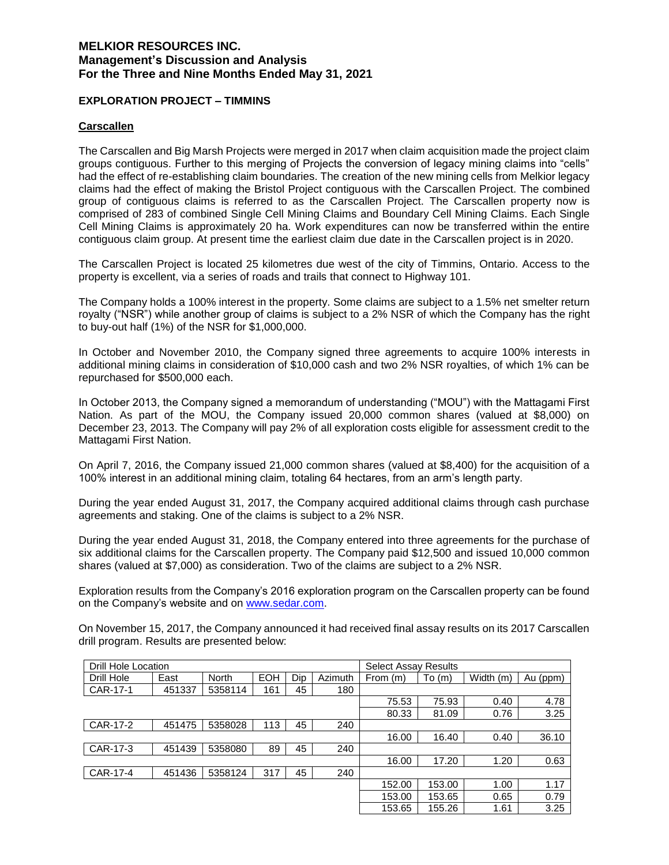### **EXPLORATION PROJECT – TIMMINS**

#### **Carscallen**

The Carscallen and Big Marsh Projects were merged in 2017 when claim acquisition made the project claim groups contiguous. Further to this merging of Projects the conversion of legacy mining claims into "cells" had the effect of re-establishing claim boundaries. The creation of the new mining cells from Melkior legacy claims had the effect of making the Bristol Project contiguous with the Carscallen Project. The combined group of contiguous claims is referred to as the Carscallen Project. The Carscallen property now is comprised of 283 of combined Single Cell Mining Claims and Boundary Cell Mining Claims. Each Single Cell Mining Claims is approximately 20 ha. Work expenditures can now be transferred within the entire contiguous claim group. At present time the earliest claim due date in the Carscallen project is in 2020.

The Carscallen Project is located 25 kilometres due west of the city of Timmins, Ontario. Access to the property is excellent, via a series of roads and trails that connect to Highway 101.

The Company holds a 100% interest in the property. Some claims are subject to a 1.5% net smelter return royalty ("NSR") while another group of claims is subject to a 2% NSR of which the Company has the right to buy-out half (1%) of the NSR for \$1,000,000.

In October and November 2010, the Company signed three agreements to acquire 100% interests in additional mining claims in consideration of \$10,000 cash and two 2% NSR royalties, of which 1% can be repurchased for \$500,000 each.

In October 2013, the Company signed a memorandum of understanding ("MOU") with the Mattagami First Nation. As part of the MOU, the Company issued 20,000 common shares (valued at \$8,000) on December 23, 2013. The Company will pay 2% of all exploration costs eligible for assessment credit to the Mattagami First Nation.

On April 7, 2016, the Company issued 21,000 common shares (valued at \$8,400) for the acquisition of a 100% interest in an additional mining claim, totaling 64 hectares, from an arm's length party.

During the year ended August 31, 2017, the Company acquired additional claims through cash purchase agreements and staking. One of the claims is subject to a 2% NSR.

During the year ended August 31, 2018, the Company entered into three agreements for the purchase of six additional claims for the Carscallen property. The Company paid \$12,500 and issued 10,000 common shares (valued at \$7,000) as consideration. Two of the claims are subject to a 2% NSR.

Exploration results from the Company's 2016 exploration program on the Carscallen property can be found on the Company's website and on www.sedar.com.

On November 15, 2017, the Company announced it had received final assay results on its 2017 Carscallen drill program. Results are presented below:

| Drill Hole Location |        |              |            |     |         | <b>Select Assay Results</b> |        |           |          |
|---------------------|--------|--------------|------------|-----|---------|-----------------------------|--------|-----------|----------|
| Drill Hole          | East   | <b>North</b> | <b>EOH</b> | Dip | Azimuth | From (m)                    | To(m)  | Width (m) | Au (ppm) |
| CAR-17-1            | 451337 | 5358114      | 161        | 45  | 180     |                             |        |           |          |
|                     |        |              |            |     |         | 75.53                       | 75.93  | 0.40      | 4.78     |
|                     |        |              |            |     |         | 80.33                       | 81.09  | 0.76      | 3.25     |
| CAR-17-2            | 451475 | 5358028      | 113        | 45  | 240     |                             |        |           |          |
|                     |        |              |            |     |         | 16.00                       | 16.40  | 0.40      | 36.10    |
| CAR-17-3            | 451439 | 5358080      | 89         | 45  | 240     |                             |        |           |          |
|                     |        |              |            |     |         | 16.00                       | 17.20  | 1.20      | 0.63     |
| CAR-17-4            | 451436 | 5358124      | 317        | 45  | 240     |                             |        |           |          |
|                     |        |              |            |     |         | 152.00                      | 153.00 | 1.00      | 1.17     |
|                     |        |              |            |     |         | 153.00                      | 153.65 | 0.65      | 0.79     |
|                     |        |              |            |     |         | 153.65                      | 155.26 | 1.61      | 3.25     |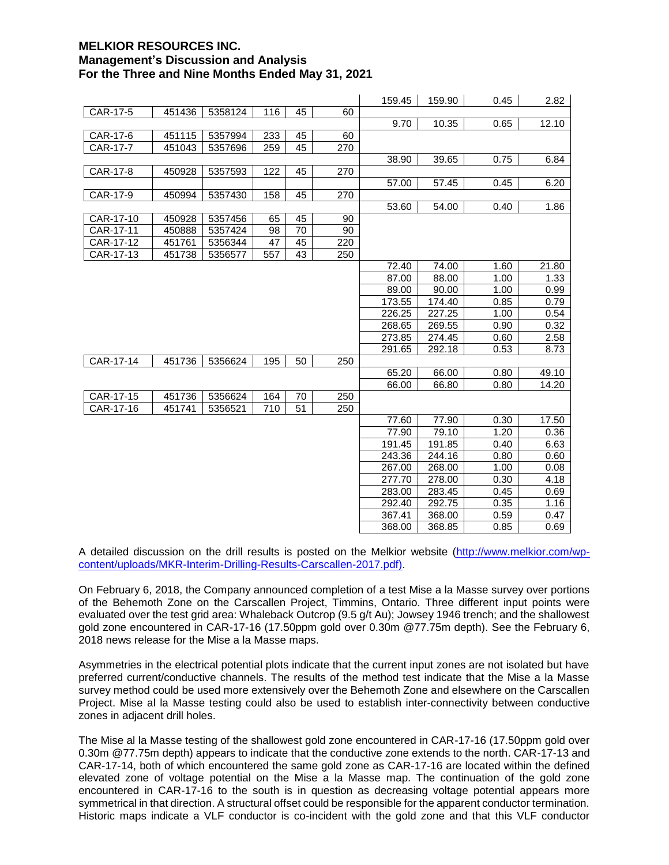|           |        |         |     |    |     | 159.45 | 159.90 | 0.45 | 2.82  |
|-----------|--------|---------|-----|----|-----|--------|--------|------|-------|
| CAR-17-5  | 451436 | 5358124 | 116 | 45 | 60  |        |        |      |       |
|           |        |         |     |    |     | 9.70   | 10.35  | 0.65 | 12.10 |
| CAR-17-6  | 451115 | 5357994 | 233 | 45 | 60  |        |        |      |       |
| CAR-17-7  | 451043 | 5357696 | 259 | 45 | 270 |        |        |      |       |
|           |        |         |     |    |     | 38.90  | 39.65  | 0.75 | 6.84  |
| CAR-17-8  | 450928 | 5357593 | 122 | 45 | 270 |        |        |      |       |
|           |        |         |     |    |     | 57.00  | 57.45  | 0.45 | 6.20  |
| CAR-17-9  | 450994 | 5357430 | 158 | 45 | 270 |        |        |      |       |
|           |        |         |     |    |     | 53.60  | 54.00  | 0.40 | 1.86  |
| CAR-17-10 | 450928 | 5357456 | 65  | 45 | 90  |        |        |      |       |
| CAR-17-11 | 450888 | 5357424 | 98  | 70 | 90  |        |        |      |       |
| CAR-17-12 | 451761 | 5356344 | 47  | 45 | 220 |        |        |      |       |
| CAR-17-13 | 451738 | 5356577 | 557 | 43 | 250 |        |        |      |       |
|           |        |         |     |    |     | 72.40  | 74.00  | 1.60 | 21.80 |
|           |        |         |     |    |     | 87.00  | 88.00  | 1.00 | 1.33  |
|           |        |         |     |    |     | 89.00  | 90.00  | 1.00 | 0.99  |
|           |        |         |     |    |     | 173.55 | 174.40 | 0.85 | 0.79  |
|           |        |         |     |    |     | 226.25 | 227.25 | 1.00 | 0.54  |
|           |        |         |     |    |     | 268.65 | 269.55 | 0.90 | 0.32  |
|           |        |         |     |    |     | 273.85 | 274.45 | 0.60 | 2.58  |
|           |        |         |     |    |     | 291.65 | 292.18 | 0.53 | 8.73  |
| CAR-17-14 | 451736 | 5356624 | 195 | 50 | 250 |        |        |      |       |
|           |        |         |     |    |     | 65.20  | 66.00  | 0.80 | 49.10 |
|           |        |         |     |    |     | 66.00  | 66.80  | 0.80 | 14.20 |
| CAR-17-15 | 451736 | 5356624 | 164 | 70 | 250 |        |        |      |       |
| CAR-17-16 | 451741 | 5356521 | 710 | 51 | 250 |        |        |      |       |
|           |        |         |     |    |     | 77.60  | 77.90  | 0.30 | 17.50 |
|           |        |         |     |    |     | 77.90  | 79.10  | 1.20 | 0.36  |
|           |        |         |     |    |     | 191.45 | 191.85 | 0.40 | 6.63  |
|           |        |         |     |    |     | 243.36 | 244.16 | 0.80 | 0.60  |
|           |        |         |     |    |     | 267.00 | 268.00 | 1.00 | 0.08  |
|           |        |         |     |    |     | 277.70 | 278.00 | 0.30 | 4.18  |
|           |        |         |     |    |     | 283.00 | 283.45 | 0.45 | 0.69  |
|           |        |         |     |    |     | 292.40 | 292.75 | 0.35 | 1.16  |
|           |        |         |     |    |     | 367.41 | 368.00 | 0.59 | 0.47  |
|           |        |         |     |    |     | 368.00 | 368.85 | 0.85 | 0.69  |

A detailed discussion on the drill results is posted on the Melkior website (http://www.melkior.com/wpcontent/uploads/MKR-Interim-Drilling-Results-Carscallen-2017.pdf).

On February 6, 2018, the Company announced completion of a test Mise a la Masse survey over portions of the Behemoth Zone on the Carscallen Project, Timmins, Ontario. Three different input points were evaluated over the test grid area: Whaleback Outcrop (9.5 g/t Au); Jowsey 1946 trench; and the shallowest gold zone encountered in CAR-17-16 (17.50ppm gold over 0.30m @77.75m depth). See the February 6, 2018 news release for the Mise a la Masse maps.

Asymmetries in the electrical potential plots indicate that the current input zones are not isolated but have preferred current/conductive channels. The results of the method test indicate that the Mise a la Masse survey method could be used more extensively over the Behemoth Zone and elsewhere on the Carscallen Project. Mise al la Masse testing could also be used to establish inter-connectivity between conductive zones in adjacent drill holes.

The Mise al la Masse testing of the shallowest gold zone encountered in CAR-17-16 (17.50ppm gold over 0.30m @77.75m depth) appears to indicate that the conductive zone extends to the north. CAR-17-13 and CAR-17-14, both of which encountered the same gold zone as CAR-17-16 are located within the defined elevated zone of voltage potential on the Mise a la Masse map. The continuation of the gold zone encountered in CAR-17-16 to the south is in question as decreasing voltage potential appears more symmetrical in that direction. A structural offset could be responsible for the apparent conductor termination. Historic maps indicate a VLF conductor is co-incident with the gold zone and that this VLF conductor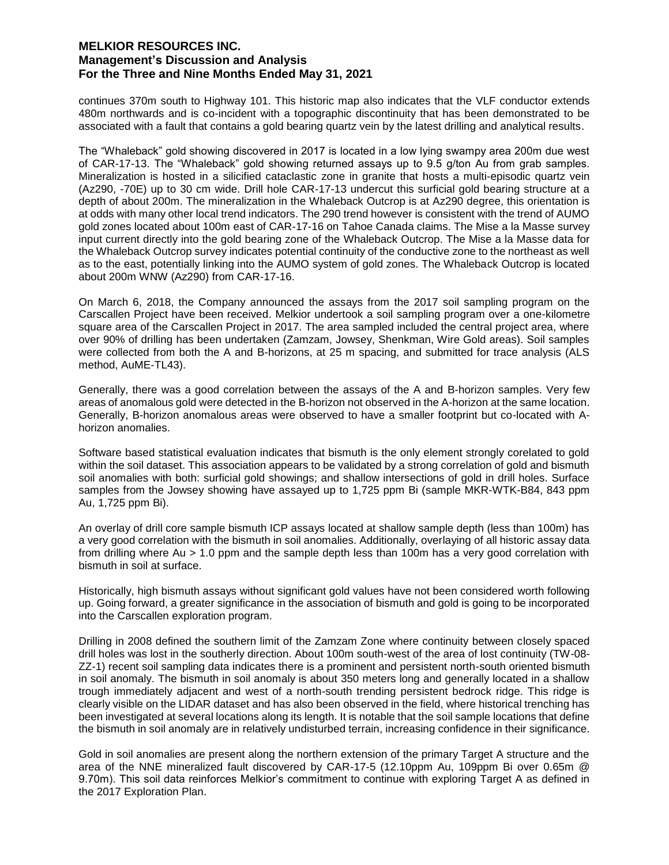continues 370m south to Highway 101. This historic map also indicates that the VLF conductor extends 480m northwards and is co-incident with a topographic discontinuity that has been demonstrated to be associated with a fault that contains a gold bearing quartz vein by the latest drilling and analytical results.

The "Whaleback" gold showing discovered in 2017 is located in a low lying swampy area 200m due west of CAR-17-13. The "Whaleback" gold showing returned assays up to 9.5 g/ton Au from grab samples. Mineralization is hosted in a silicified cataclastic zone in granite that hosts a multi-episodic quartz vein (Az290, -70E) up to 30 cm wide. Drill hole CAR-17-13 undercut this surficial gold bearing structure at a depth of about 200m. The mineralization in the Whaleback Outcrop is at Az290 degree, this orientation is at odds with many other local trend indicators. The 290 trend however is consistent with the trend of AUMO gold zones located about 100m east of CAR-17-16 on Tahoe Canada claims. The Mise a la Masse survey input current directly into the gold bearing zone of the Whaleback Outcrop. The Mise a la Masse data for the Whaleback Outcrop survey indicates potential continuity of the conductive zone to the northeast as well as to the east, potentially linking into the AUMO system of gold zones. The Whaleback Outcrop is located about 200m WNW (Az290) from CAR-17-16.

On March 6, 2018, the Company announced the assays from the 2017 soil sampling program on the Carscallen Project have been received. Melkior undertook a soil sampling program over a one-kilometre square area of the Carscallen Project in 2017. The area sampled included the central project area, where over 90% of drilling has been undertaken (Zamzam, Jowsey, Shenkman, Wire Gold areas). Soil samples were collected from both the A and B-horizons, at 25 m spacing, and submitted for trace analysis (ALS method, AuME-TL43).

Generally, there was a good correlation between the assays of the A and B-horizon samples. Very few areas of anomalous gold were detected in the B-horizon not observed in the A-horizon at the same location. Generally, B-horizon anomalous areas were observed to have a smaller footprint but co-located with Ahorizon anomalies.

Software based statistical evaluation indicates that bismuth is the only element strongly corelated to gold within the soil dataset. This association appears to be validated by a strong correlation of gold and bismuth soil anomalies with both: surficial gold showings; and shallow intersections of gold in drill holes. Surface samples from the Jowsey showing have assayed up to 1,725 ppm Bi (sample MKR-WTK-B84, 843 ppm Au, 1,725 ppm Bi).

An overlay of drill core sample bismuth ICP assays located at shallow sample depth (less than 100m) has a very good correlation with the bismuth in soil anomalies. Additionally, overlaying of all historic assay data from drilling where Au > 1.0 ppm and the sample depth less than 100m has a very good correlation with bismuth in soil at surface.

Historically, high bismuth assays without significant gold values have not been considered worth following up. Going forward, a greater significance in the association of bismuth and gold is going to be incorporated into the Carscallen exploration program.

Drilling in 2008 defined the southern limit of the Zamzam Zone where continuity between closely spaced drill holes was lost in the southerly direction. About 100m south-west of the area of lost continuity (TW-08- ZZ-1) recent soil sampling data indicates there is a prominent and persistent north-south oriented bismuth in soil anomaly. The bismuth in soil anomaly is about 350 meters long and generally located in a shallow trough immediately adjacent and west of a north-south trending persistent bedrock ridge. This ridge is clearly visible on the LIDAR dataset and has also been observed in the field, where historical trenching has been investigated at several locations along its length. It is notable that the soil sample locations that define the bismuth in soil anomaly are in relatively undisturbed terrain, increasing confidence in their significance.

Gold in soil anomalies are present along the northern extension of the primary Target A structure and the area of the NNE mineralized fault discovered by CAR-17-5 (12.10ppm Au, 109ppm Bi over 0.65m @ 9.70m). This soil data reinforces Melkior's commitment to continue with exploring Target A as defined in the 2017 Exploration Plan.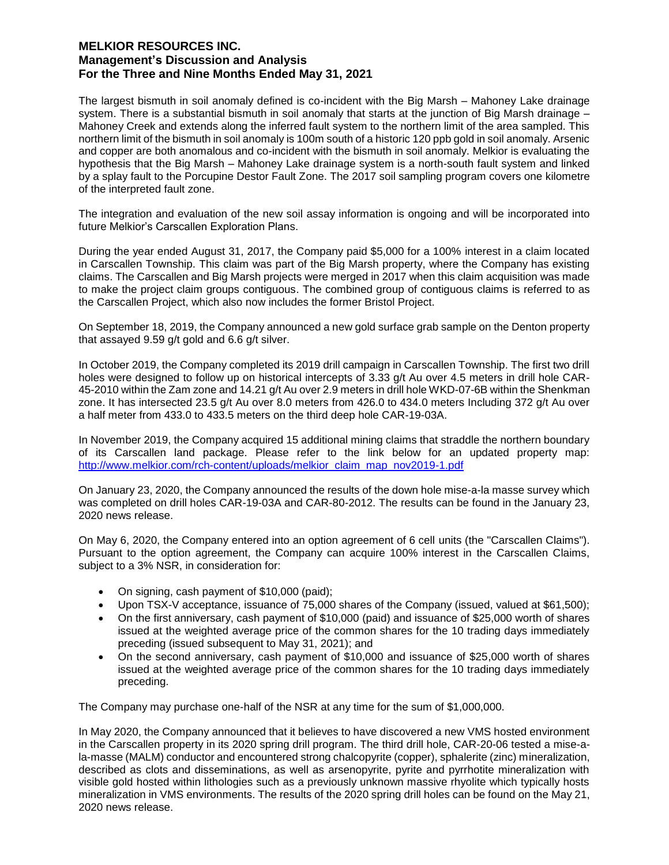The largest bismuth in soil anomaly defined is co-incident with the Big Marsh – Mahoney Lake drainage system. There is a substantial bismuth in soil anomaly that starts at the junction of Big Marsh drainage – Mahoney Creek and extends along the inferred fault system to the northern limit of the area sampled. This northern limit of the bismuth in soil anomaly is 100m south of a historic 120 ppb gold in soil anomaly. Arsenic and copper are both anomalous and co-incident with the bismuth in soil anomaly. Melkior is evaluating the hypothesis that the Big Marsh – Mahoney Lake drainage system is a north-south fault system and linked by a splay fault to the Porcupine Destor Fault Zone. The 2017 soil sampling program covers one kilometre of the interpreted fault zone.

The integration and evaluation of the new soil assay information is ongoing and will be incorporated into future Melkior's Carscallen Exploration Plans.

During the year ended August 31, 2017, the Company paid \$5,000 for a 100% interest in a claim located in Carscallen Township. This claim was part of the Big Marsh property, where the Company has existing claims. The Carscallen and Big Marsh projects were merged in 2017 when this claim acquisition was made to make the project claim groups contiguous. The combined group of contiguous claims is referred to as the Carscallen Project, which also now includes the former Bristol Project.

On September 18, 2019, the Company announced a new gold surface grab sample on the Denton property that assayed 9.59 g/t gold and 6.6 g/t silver.

In October 2019, the Company completed its 2019 drill campaign in Carscallen Township. The first two drill holes were designed to follow up on historical intercepts of 3.33 g/t Au over 4.5 meters in drill hole CAR-45-2010 within the Zam zone and 14.21 g/t Au over 2.9 meters in drill hole WKD-07-6B within the Shenkman zone. It has intersected 23.5 g/t Au over 8.0 meters from 426.0 to 434.0 meters Including 372 g/t Au over a half meter from 433.0 to 433.5 meters on the third deep hole CAR-19-03A.

In November 2019, the Company acquired 15 additional mining claims that straddle the northern boundary of its Carscallen land package. Please refer to the link below for an updated property map: http://www.melkior.com/rch-content/uploads/melkior\_claim\_map\_nov2019-1.pdf

On January 23, 2020, the Company announced the results of the down hole mise-a-la masse survey which was completed on drill holes CAR-19-03A and CAR-80-2012. The results can be found in the January 23, 2020 news release.

On May 6, 2020, the Company entered into an option agreement of 6 cell units (the "Carscallen Claims"). Pursuant to the option agreement, the Company can acquire 100% interest in the Carscallen Claims, subject to a 3% NSR, in consideration for:

- On signing, cash payment of \$10,000 (paid);
- Upon TSX-V acceptance, issuance of 75,000 shares of the Company (issued, valued at \$61,500);
- On the first anniversary, cash payment of \$10,000 (paid) and issuance of \$25,000 worth of shares issued at the weighted average price of the common shares for the 10 trading days immediately preceding (issued subsequent to May 31, 2021); and
- On the second anniversary, cash payment of \$10,000 and issuance of \$25,000 worth of shares issued at the weighted average price of the common shares for the 10 trading days immediately preceding.

The Company may purchase one-half of the NSR at any time for the sum of \$1,000,000.

In May 2020, the Company announced that it believes to have discovered a new VMS hosted environment in the Carscallen property in its 2020 spring drill program. The third drill hole, CAR-20-06 tested a mise-ala-masse (MALM) conductor and encountered strong chalcopyrite (copper), sphalerite (zinc) mineralization, described as clots and disseminations, as well as arsenopyrite, pyrite and pyrrhotite mineralization with visible gold hosted within lithologies such as a previously unknown massive rhyolite which typically hosts mineralization in VMS environments. The results of the 2020 spring drill holes can be found on the May 21, 2020 news release.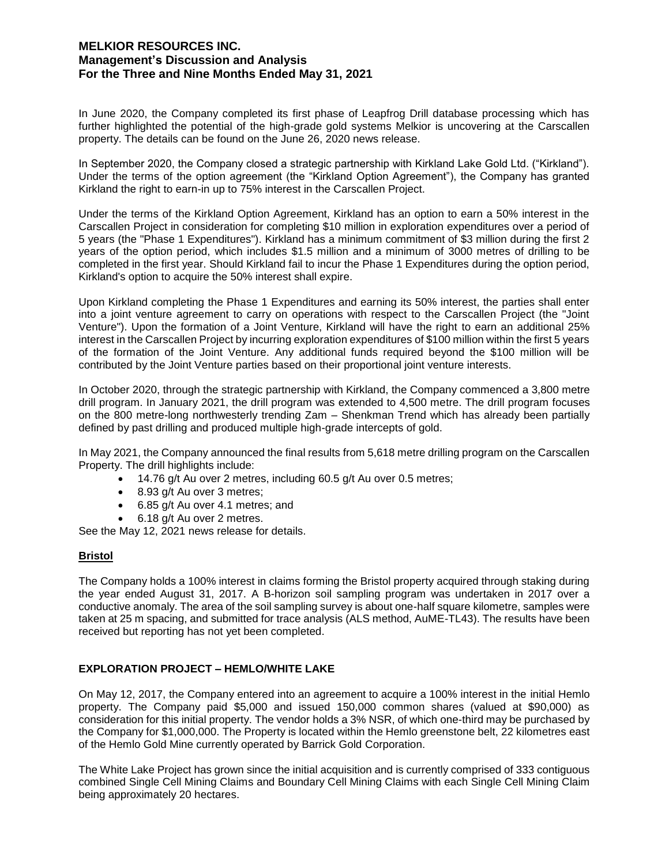In June 2020, the Company completed its first phase of Leapfrog Drill database processing which has further highlighted the potential of the high-grade gold systems Melkior is uncovering at the Carscallen property. The details can be found on the June 26, 2020 news release.

In September 2020, the Company closed a strategic partnership with Kirkland Lake Gold Ltd. ("Kirkland"). Under the terms of the option agreement (the "Kirkland Option Agreement"), the Company has granted Kirkland the right to earn-in up to 75% interest in the Carscallen Project.

Under the terms of the Kirkland Option Agreement, Kirkland has an option to earn a 50% interest in the Carscallen Project in consideration for completing \$10 million in exploration expenditures over a period of 5 years (the "Phase 1 Expenditures"). Kirkland has a minimum commitment of \$3 million during the first 2 years of the option period, which includes \$1.5 million and a minimum of 3000 metres of drilling to be completed in the first year. Should Kirkland fail to incur the Phase 1 Expenditures during the option period, Kirkland's option to acquire the 50% interest shall expire.

Upon Kirkland completing the Phase 1 Expenditures and earning its 50% interest, the parties shall enter into a joint venture agreement to carry on operations with respect to the Carscallen Project (the "Joint Venture"). Upon the formation of a Joint Venture, Kirkland will have the right to earn an additional 25% interest in the Carscallen Project by incurring exploration expenditures of \$100 million within the first 5 years of the formation of the Joint Venture. Any additional funds required beyond the \$100 million will be contributed by the Joint Venture parties based on their proportional joint venture interests.

In October 2020, through the strategic partnership with Kirkland, the Company commenced a 3,800 metre drill program. In January 2021, the drill program was extended to 4,500 metre. The drill program focuses on the 800 metre-long northwesterly trending Zam – Shenkman Trend which has already been partially defined by past drilling and produced multiple high-grade intercepts of gold.

In May 2021, the Company announced the final results from 5,618 metre drilling program on the Carscallen Property. The drill highlights include:

- $\bullet$  14.76 g/t Au over 2 metres, including 60.5 g/t Au over 0.5 metres;
- 8.93 g/t Au over 3 metres;
- 6.85 g/t Au over 4.1 metres; and
- 6.18 g/t Au over 2 metres.

See the May 12, 2021 news release for details.

# **Bristol**

The Company holds a 100% interest in claims forming the Bristol property acquired through staking during the year ended August 31, 2017. A B-horizon soil sampling program was undertaken in 2017 over a conductive anomaly. The area of the soil sampling survey is about one-half square kilometre, samples were taken at 25 m spacing, and submitted for trace analysis (ALS method, AuME-TL43). The results have been received but reporting has not yet been completed.

# **EXPLORATION PROJECT – HEMLO/WHITE LAKE**

On May 12, 2017, the Company entered into an agreement to acquire a 100% interest in the initial Hemlo property. The Company paid \$5,000 and issued 150,000 common shares (valued at \$90,000) as consideration for this initial property. The vendor holds a 3% NSR, of which one-third may be purchased by the Company for \$1,000,000. The Property is located within the Hemlo greenstone belt, 22 kilometres east of the Hemlo Gold Mine currently operated by Barrick Gold Corporation.

The White Lake Project has grown since the initial acquisition and is currently comprised of 333 contiguous combined Single Cell Mining Claims and Boundary Cell Mining Claims with each Single Cell Mining Claim being approximately 20 hectares.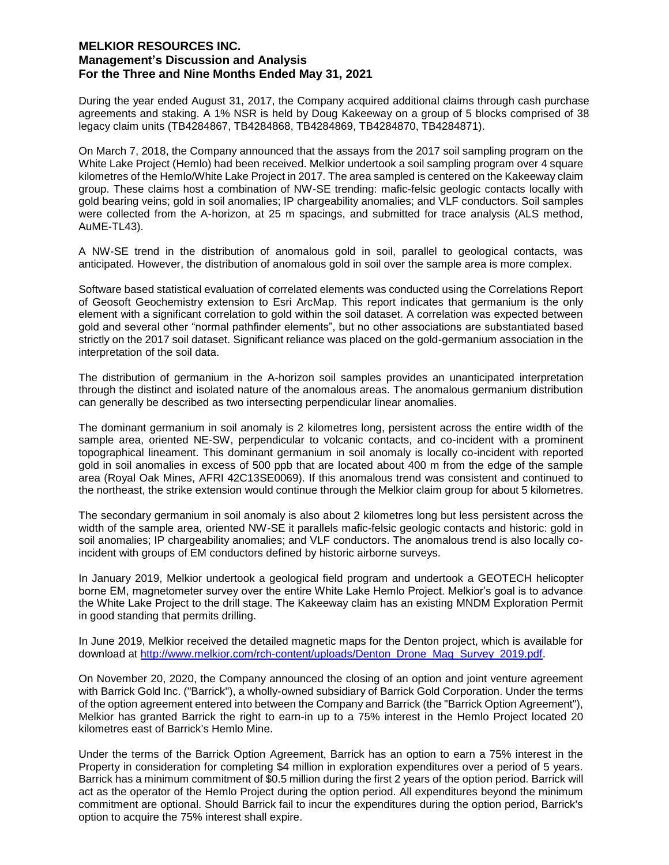During the year ended August 31, 2017, the Company acquired additional claims through cash purchase agreements and staking. A 1% NSR is held by Doug Kakeeway on a group of 5 blocks comprised of 38 legacy claim units (TB4284867, TB4284868, TB4284869, TB4284870, TB4284871).

On March 7, 2018, the Company announced that the assays from the 2017 soil sampling program on the White Lake Project (Hemlo) had been received. Melkior undertook a soil sampling program over 4 square kilometres of the Hemlo/White Lake Project in 2017. The area sampled is centered on the Kakeeway claim group. These claims host a combination of NW-SE trending: mafic-felsic geologic contacts locally with gold bearing veins; gold in soil anomalies; IP chargeability anomalies; and VLF conductors. Soil samples were collected from the A-horizon, at 25 m spacings, and submitted for trace analysis (ALS method, AuME-TL43).

A NW-SE trend in the distribution of anomalous gold in soil, parallel to geological contacts, was anticipated. However, the distribution of anomalous gold in soil over the sample area is more complex.

Software based statistical evaluation of correlated elements was conducted using the Correlations Report of Geosoft Geochemistry extension to Esri ArcMap. This report indicates that germanium is the only element with a significant correlation to gold within the soil dataset. A correlation was expected between gold and several other "normal pathfinder elements", but no other associations are substantiated based strictly on the 2017 soil dataset. Significant reliance was placed on the gold-germanium association in the interpretation of the soil data.

The distribution of germanium in the A-horizon soil samples provides an unanticipated interpretation through the distinct and isolated nature of the anomalous areas. The anomalous germanium distribution can generally be described as two intersecting perpendicular linear anomalies.

The dominant germanium in soil anomaly is 2 kilometres long, persistent across the entire width of the sample area, oriented NE-SW, perpendicular to volcanic contacts, and co-incident with a prominent topographical lineament. This dominant germanium in soil anomaly is locally co-incident with reported gold in soil anomalies in excess of 500 ppb that are located about 400 m from the edge of the sample area (Royal Oak Mines, AFRI 42C13SE0069). If this anomalous trend was consistent and continued to the northeast, the strike extension would continue through the Melkior claim group for about 5 kilometres.

The secondary germanium in soil anomaly is also about 2 kilometres long but less persistent across the width of the sample area, oriented NW-SE it parallels mafic-felsic geologic contacts and historic: gold in soil anomalies; IP chargeability anomalies; and VLF conductors. The anomalous trend is also locally coincident with groups of EM conductors defined by historic airborne surveys.

In January 2019, Melkior undertook a geological field program and undertook a GEOTECH helicopter borne EM, magnetometer survey over the entire White Lake Hemlo Project. Melkior's goal is to advance the White Lake Project to the drill stage. The Kakeeway claim has an existing MNDM Exploration Permit in good standing that permits drilling.

In June 2019, Melkior received the detailed magnetic maps for the Denton project, which is available for download at http://www.melkior.com/rch-content/uploads/Denton\_Drone\_Mag\_Survey\_2019.pdf.

On November 20, 2020, the Company announced the closing of an option and joint venture agreement with Barrick Gold Inc. ("Barrick"), a wholly-owned subsidiary of Barrick Gold Corporation. Under the terms of the option agreement entered into between the Company and Barrick (the "Barrick Option Agreement"), Melkior has granted Barrick the right to earn-in up to a 75% interest in the Hemlo Project located 20 kilometres east of Barrick's Hemlo Mine.

Under the terms of the Barrick Option Agreement, Barrick has an option to earn a 75% interest in the Property in consideration for completing \$4 million in exploration expenditures over a period of 5 years. Barrick has a minimum commitment of \$0.5 million during the first 2 years of the option period. Barrick will act as the operator of the Hemlo Project during the option period. All expenditures beyond the minimum commitment are optional. Should Barrick fail to incur the expenditures during the option period, Barrick's option to acquire the 75% interest shall expire.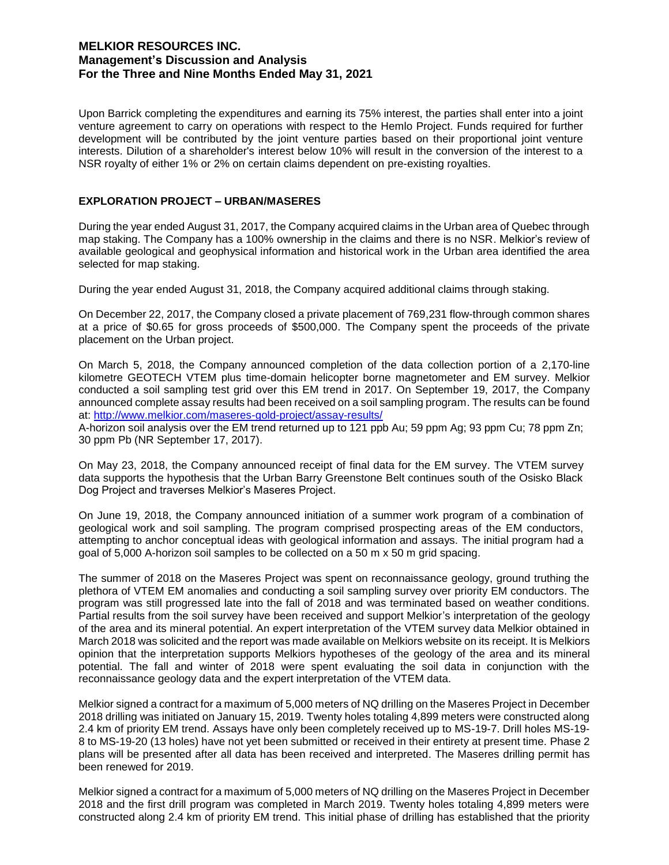Upon Barrick completing the expenditures and earning its 75% interest, the parties shall enter into a joint venture agreement to carry on operations with respect to the Hemlo Project. Funds required for further development will be contributed by the joint venture parties based on their proportional joint venture interests. Dilution of a shareholder's interest below 10% will result in the conversion of the interest to a NSR royalty of either 1% or 2% on certain claims dependent on pre-existing royalties.

### **EXPLORATION PROJECT – URBAN/MASERES**

During the year ended August 31, 2017, the Company acquired claims in the Urban area of Quebec through map staking. The Company has a 100% ownership in the claims and there is no NSR. Melkior's review of available geological and geophysical information and historical work in the Urban area identified the area selected for map staking.

During the year ended August 31, 2018, the Company acquired additional claims through staking.

On December 22, 2017, the Company closed a private placement of 769,231 flow-through common shares at a price of \$0.65 for gross proceeds of \$500,000. The Company spent the proceeds of the private placement on the Urban project.

On March 5, 2018, the Company announced completion of the data collection portion of a 2,170-line kilometre GEOTECH VTEM plus time-domain helicopter borne magnetometer and EM survey. Melkior conducted a soil sampling test grid over this EM trend in 2017. On September 19, 2017, the Company announced complete assay results had been received on a soil sampling program. The results can be found at: http://www.melkior.com/maseres-gold-project/assay-results/

A-horizon soil analysis over the EM trend returned up to 121 ppb Au; 59 ppm Ag; 93 ppm Cu; 78 ppm Zn; 30 ppm Pb (NR September 17, 2017).

On May 23, 2018, the Company announced receipt of final data for the EM survey. The VTEM survey data supports the hypothesis that the Urban Barry Greenstone Belt continues south of the Osisko Black Dog Project and traverses Melkior's Maseres Project.

On June 19, 2018, the Company announced initiation of a summer work program of a combination of geological work and soil sampling. The program comprised prospecting areas of the EM conductors, attempting to anchor conceptual ideas with geological information and assays. The initial program had a goal of 5,000 A-horizon soil samples to be collected on a 50 m x 50 m grid spacing.

The summer of 2018 on the Maseres Project was spent on reconnaissance geology, ground truthing the plethora of VTEM EM anomalies and conducting a soil sampling survey over priority EM conductors. The program was still progressed late into the fall of 2018 and was terminated based on weather conditions. Partial results from the soil survey have been received and support Melkior's interpretation of the geology of the area and its mineral potential. An expert interpretation of the VTEM survey data Melkior obtained in March 2018 was solicited and the report was made available on Melkiors website on its receipt. It is Melkiors opinion that the interpretation supports Melkiors hypotheses of the geology of the area and its mineral potential. The fall and winter of 2018 were spent evaluating the soil data in conjunction with the reconnaissance geology data and the expert interpretation of the VTEM data.

Melkior signed a contract for a maximum of 5,000 meters of NQ drilling on the Maseres Project in December 2018 drilling was initiated on January 15, 2019. Twenty holes totaling 4,899 meters were constructed along 2.4 km of priority EM trend. Assays have only been completely received up to MS-19-7. Drill holes MS-19- 8 to MS-19-20 (13 holes) have not yet been submitted or received in their entirety at present time. Phase 2 plans will be presented after all data has been received and interpreted. The Maseres drilling permit has been renewed for 2019.

Melkior signed a contract for a maximum of 5,000 meters of NQ drilling on the Maseres Project in December 2018 and the first drill program was completed in March 2019. Twenty holes totaling 4,899 meters were constructed along 2.4 km of priority EM trend. This initial phase of drilling has established that the priority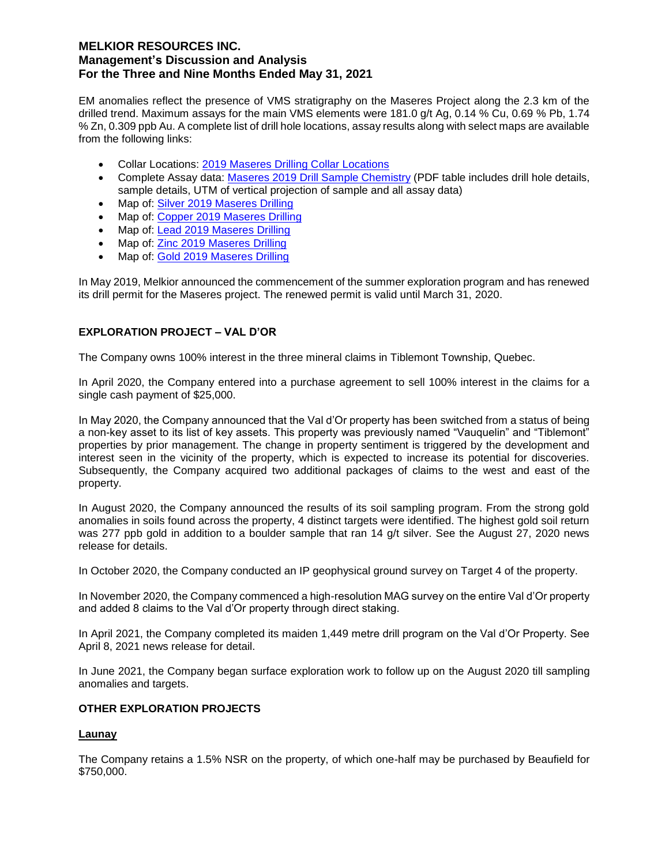EM anomalies reflect the presence of VMS stratigraphy on the Maseres Project along the 2.3 km of the drilled trend. Maximum assays for the main VMS elements were 181.0 g/t Ag, 0.14 % Cu, 0.69 % Pb, 1.74 % Zn, 0.309 ppb Au. A complete list of drill hole locations, assay results along with select maps are available from the following links:

- Collar Locations: 2019 Maseres Drilling Collar Locations
- Complete Assay data: Maseres 2019 Drill Sample Chemistry (PDF table includes drill hole details, sample details, UTM of vertical projection of sample and all assay data)
- Map of: Silver 2019 Maseres Drilling
- Map of: Copper 2019 Maseres Drilling
- Map of: Lead 2019 Maseres Drilling
- Map of: Zinc 2019 Maseres Drilling
- Map of: Gold 2019 Maseres Drilling

In May 2019, Melkior announced the commencement of the summer exploration program and has renewed its drill permit for the Maseres project. The renewed permit is valid until March 31, 2020.

## **EXPLORATION PROJECT – VAL D'OR**

The Company owns 100% interest in the three mineral claims in Tiblemont Township, Quebec.

In April 2020, the Company entered into a purchase agreement to sell 100% interest in the claims for a single cash payment of \$25,000.

In May 2020, the Company announced that the Val d'Or property has been switched from a status of being a non-key asset to its list of key assets. This property was previously named "Vauquelin" and "Tiblemont" properties by prior management. The change in property sentiment is triggered by the development and interest seen in the vicinity of the property, which is expected to increase its potential for discoveries. Subsequently, the Company acquired two additional packages of claims to the west and east of the property.

In August 2020, the Company announced the results of its soil sampling program. From the strong gold anomalies in soils found across the property, 4 distinct targets were identified. The highest gold soil return was 277 ppb gold in addition to a boulder sample that ran 14 g/t silver. See the August 27, 2020 news release for details.

In October 2020, the Company conducted an IP geophysical ground survey on Target 4 of the property.

In November 2020, the Company commenced a high-resolution MAG survey on the entire Val d'Or property and added 8 claims to the Val d'Or property through direct staking.

In April 2021, the Company completed its maiden 1,449 metre drill program on the Val d'Or Property. See April 8, 2021 news release for detail.

In June 2021, the Company began surface exploration work to follow up on the August 2020 till sampling anomalies and targets.

# **OTHER EXPLORATION PROJECTS**

### **Launay**

The Company retains a 1.5% NSR on the property, of which one-half may be purchased by Beaufield for \$750,000.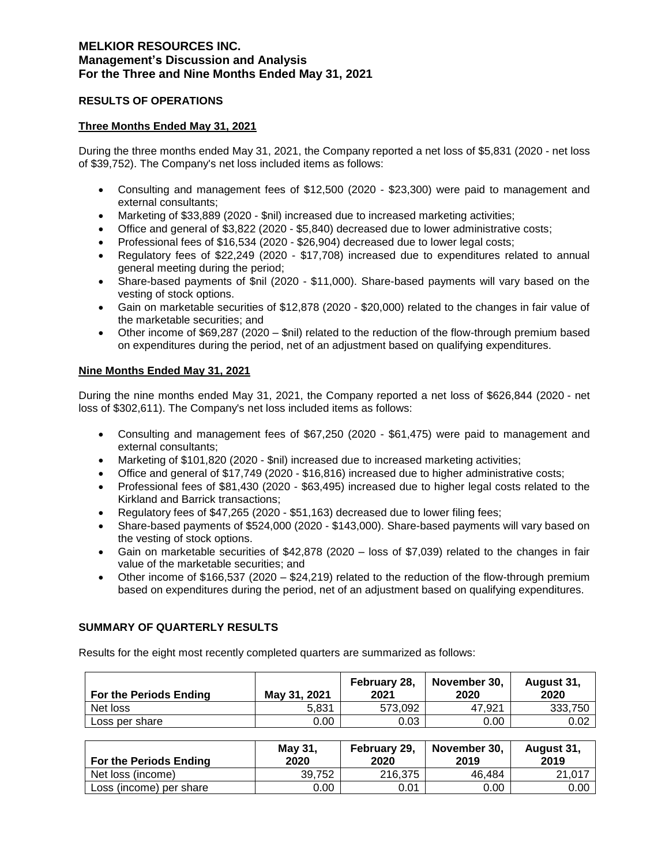## **RESULTS OF OPERATIONS**

## **Three Months Ended May 31, 2021**

During the three months ended May 31, 2021, the Company reported a net loss of \$5,831 (2020 - net loss of \$39,752). The Company's net loss included items as follows:

- Consulting and management fees of \$12,500 (2020 \$23,300) were paid to management and external consultants;
- Marketing of \$33,889 (2020 \$nil) increased due to increased marketing activities;
- Office and general of \$3,822 (2020 \$5,840) decreased due to lower administrative costs;
- Professional fees of \$16,534 (2020 \$26,904) decreased due to lower legal costs;
- Regulatory fees of \$22,249 (2020 \$17,708) increased due to expenditures related to annual general meeting during the period;
- Share-based payments of \$nil (2020 \$11,000). Share-based payments will vary based on the vesting of stock options.
- Gain on marketable securities of \$12,878 (2020 \$20,000) related to the changes in fair value of the marketable securities; and
- Other income of \$69,287 (2020 \$nil) related to the reduction of the flow-through premium based on expenditures during the period, net of an adjustment based on qualifying expenditures.

## **Nine Months Ended May 31, 2021**

During the nine months ended May 31, 2021, the Company reported a net loss of \$626,844 (2020 - net loss of \$302,611). The Company's net loss included items as follows:

- Consulting and management fees of \$67,250 (2020 \$61,475) were paid to management and external consultants;
- Marketing of \$101,820 (2020 \$nil) increased due to increased marketing activities;
- Office and general of \$17,749 (2020 \$16,816) increased due to higher administrative costs;
- Professional fees of \$81,430 (2020 \$63,495) increased due to higher legal costs related to the Kirkland and Barrick transactions;
- Regulatory fees of \$47,265 (2020 \$51,163) decreased due to lower filing fees;
- Share-based payments of \$524,000 (2020 \$143,000). Share-based payments will vary based on the vesting of stock options.
- Gain on marketable securities of \$42,878 (2020 loss of \$7,039) related to the changes in fair value of the marketable securities; and
- Other income of \$166,537 (2020 \$24,219) related to the reduction of the flow-through premium based on expenditures during the period, net of an adjustment based on qualifying expenditures.

# **SUMMARY OF QUARTERLY RESULTS**

Results for the eight most recently completed quarters are summarized as follows:

| <b>For the Periods Ending</b> | May 31, 2021 | February 28.<br>2021 | November 30.<br>2020 | August 31,<br>2020 |
|-------------------------------|--------------|----------------------|----------------------|--------------------|
| Net loss                      | 5.831        | 573.092              | 47.921               | 333.750            |
| Loss per share                | 0.00         | 0.03                 | 0.00                 | 0.02               |

| For the Periods Ending  | May 31,<br>2020 | February 29,<br>2020 | November 30,<br>2019 | August 31,<br>2019 |
|-------------------------|-----------------|----------------------|----------------------|--------------------|
| Net loss (income)       | 39.752          | 216,375              | 46.484               | 21.017             |
| Loss (income) per share | 0.00            | 0.01                 | 0.00                 | 0.00               |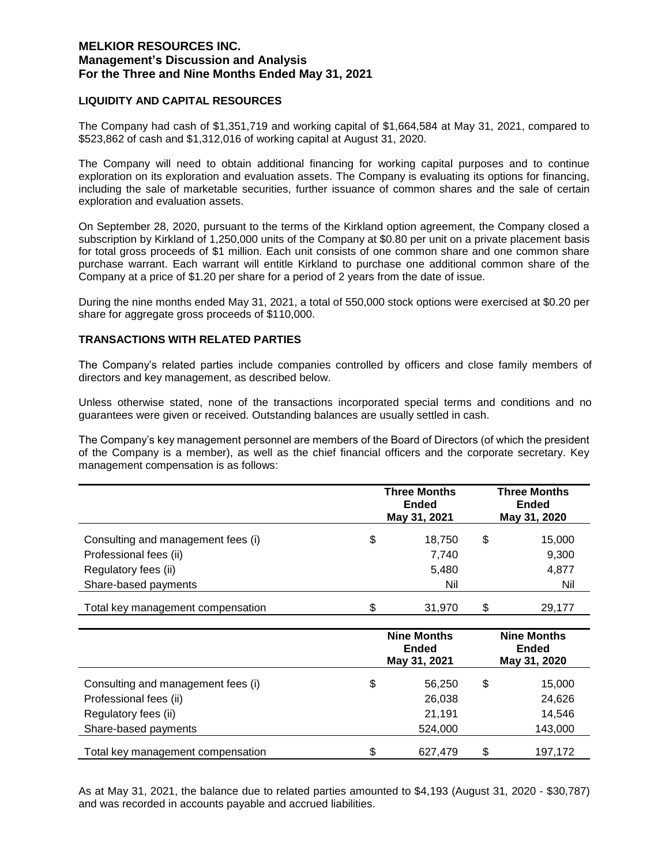## **LIQUIDITY AND CAPITAL RESOURCES**

The Company had cash of \$1,351,719 and working capital of \$1,664,584 at May 31, 2021, compared to \$523,862 of cash and \$1,312,016 of working capital at August 31, 2020.

The Company will need to obtain additional financing for working capital purposes and to continue exploration on its exploration and evaluation assets. The Company is evaluating its options for financing, including the sale of marketable securities, further issuance of common shares and the sale of certain exploration and evaluation assets.

On September 28, 2020, pursuant to the terms of the Kirkland option agreement, the Company closed a subscription by Kirkland of 1,250,000 units of the Company at \$0.80 per unit on a private placement basis for total gross proceeds of \$1 million. Each unit consists of one common share and one common share purchase warrant. Each warrant will entitle Kirkland to purchase one additional common share of the Company at a price of \$1.20 per share for a period of 2 years from the date of issue.

During the nine months ended May 31, 2021, a total of 550,000 stock options were exercised at \$0.20 per share for aggregate gross proceeds of \$110,000.

# **TRANSACTIONS WITH RELATED PARTIES**

The Company's related parties include companies controlled by officers and close family members of directors and key management, as described below.

Unless otherwise stated, none of the transactions incorporated special terms and conditions and no guarantees were given or received. Outstanding balances are usually settled in cash.

The Company's key management personnel are members of the Board of Directors (of which the president of the Company is a member), as well as the chief financial officers and the corporate secretary. Key management compensation is as follows:

|                                    | <b>Three Months</b><br><b>Ended</b><br>May 31, 2021 | <b>Three Months</b><br>Ended<br>May 31, 2020 |        |
|------------------------------------|-----------------------------------------------------|----------------------------------------------|--------|
| Consulting and management fees (i) | \$<br>18.750                                        | \$                                           | 15,000 |
| Professional fees (ii)             | 7,740                                               |                                              | 9,300  |
| Regulatory fees (ii)               | 5,480                                               |                                              | 4,877  |
| Share-based payments               | Nil                                                 |                                              | Nil    |
| Total key management compensation  | \$<br>31.970                                        | S                                            | 29.177 |

|                                    | <b>Nine Months</b><br><b>Ended</b><br>May 31, 2021 | <b>Nine Months</b><br><b>Ended</b><br>May 31, 2020 |         |
|------------------------------------|----------------------------------------------------|----------------------------------------------------|---------|
| Consulting and management fees (i) | \$<br>56,250                                       | \$                                                 | 15,000  |
| Professional fees (ii)             | 26,038                                             |                                                    | 24,626  |
| Regulatory fees (ii)               | 21,191                                             |                                                    | 14,546  |
| Share-based payments               | 524,000                                            |                                                    | 143,000 |
| Total key management compensation  | \$<br>627,479                                      | \$                                                 | 197,172 |

As at May 31, 2021, the balance due to related parties amounted to \$4,193 (August 31, 2020 - \$30,787) and was recorded in accounts payable and accrued liabilities.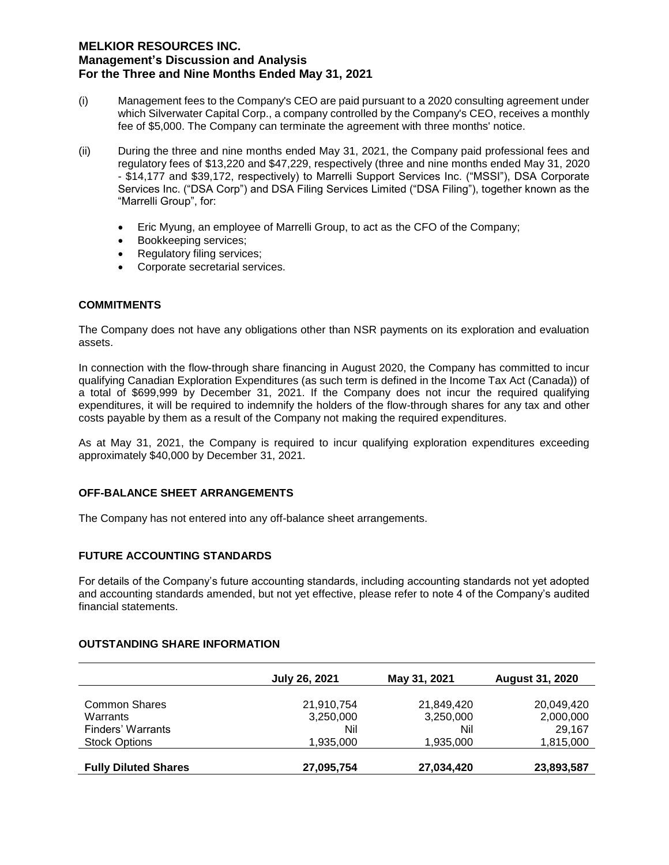- (i) Management fees to the Company's CEO are paid pursuant to a 2020 consulting agreement under which Silverwater Capital Corp., a company controlled by the Company's CEO, receives a monthly fee of \$5,000. The Company can terminate the agreement with three months' notice.
- (ii) During the three and nine months ended May 31, 2021, the Company paid professional fees and regulatory fees of \$13,220 and \$47,229, respectively (three and nine months ended May 31, 2020 - \$14,177 and \$39,172, respectively) to Marrelli Support Services Inc. ("MSSI"), DSA Corporate Services Inc. ("DSA Corp") and DSA Filing Services Limited ("DSA Filing"), together known as the "Marrelli Group", for:
	- Eric Myung, an employee of Marrelli Group, to act as the CFO of the Company;
	- Bookkeeping services;
	- Regulatory filing services;
	- Corporate secretarial services.

## **COMMITMENTS**

The Company does not have any obligations other than NSR payments on its exploration and evaluation assets.

In connection with the flow-through share financing in August 2020, the Company has committed to incur qualifying Canadian Exploration Expenditures (as such term is defined in the Income Tax Act (Canada)) of a total of \$699,999 by December 31, 2021. If the Company does not incur the required qualifying expenditures, it will be required to indemnify the holders of the flow-through shares for any tax and other costs payable by them as a result of the Company not making the required expenditures.

As at May 31, 2021, the Company is required to incur qualifying exploration expenditures exceeding approximately \$40,000 by December 31, 2021.

### **OFF-BALANCE SHEET ARRANGEMENTS**

The Company has not entered into any off-balance sheet arrangements.

# **FUTURE ACCOUNTING STANDARDS**

For details of the Company's future accounting standards, including accounting standards not yet adopted and accounting standards amended, but not yet effective, please refer to note 4 of the Company's audited financial statements.

### **OUTSTANDING SHARE INFORMATION**

|                             | July 26, 2021 | May 31, 2021 | <b>August 31, 2020</b> |
|-----------------------------|---------------|--------------|------------------------|
|                             |               |              |                        |
| <b>Common Shares</b>        | 21,910,754    | 21,849,420   | 20,049,420             |
| Warrants                    | 3,250,000     | 3,250,000    | 2,000,000              |
| Finders' Warrants           | Nil           | Nil          | 29.167                 |
| <b>Stock Options</b>        | 1,935,000     | 1,935,000    | 1,815,000              |
| <b>Fully Diluted Shares</b> | 27,095,754    | 27,034,420   | 23,893,587             |